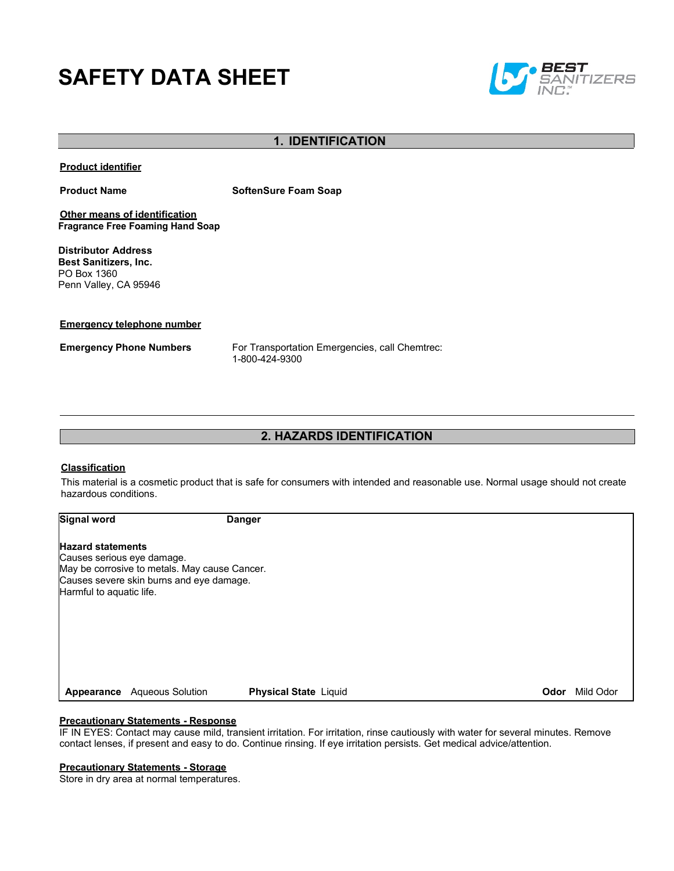# **SAFETY DATA SHEET**



### **1. IDENTIFICATION**

**Product identifier**

**Product Name SoftenSure Foam Soap** 

**Other means of identification Fragrance Free Foaming Hand Soap**

**Distributor Address Best Sanitizers, Inc.**  PO Box 1360 Penn Valley, CA 95946

**Emergency telephone number**

**Emergency Phone Numbers** For Transportation Emergencies, call Chemtrec: 1-800-424-9300

### **2. HAZARDS IDENTIFICATION**

### **Classification**

This material is a cosmetic product that is safe for consumers with intended and reasonable use. Normal usage should not create hazardous conditions.

**Signal word Danger**

#### **Hazard statements**

Causes serious eye damage. May be corrosive to metals. May cause Cancer. Causes severe skin burns and eye damage. Harmful to aquatic life.

**Appearance** Aqueous Solution **Physical State** Liquid **Odor** Mild Odor

### **Precautionary Statements - Response**

IF IN EYES: Contact may cause mild, transient irritation. For irritation, rinse cautiously with water for several minutes. Remove contact lenses, if present and easy to do. Continue rinsing. If eye irritation persists. Get medical advice/attention.

#### **Precautionary Statements - Storage**

Store in dry area at normal temperatures.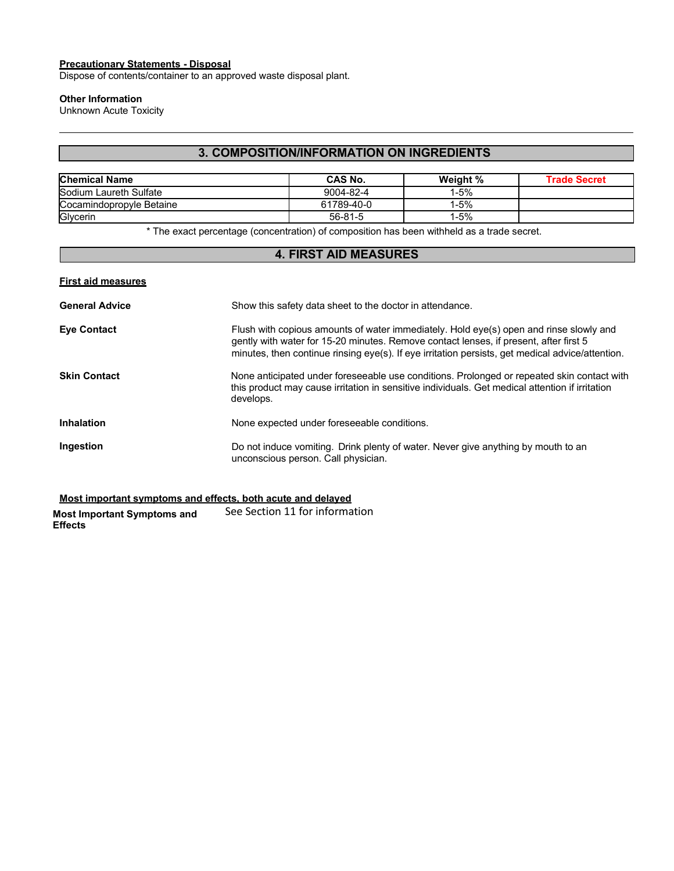#### **Precautionary Statements - Disposal**

Dispose of contents/container to an approved waste disposal plant.

### **Other Information**

Unknown Acute Toxicity

### **3. COMPOSITION/INFORMATION ON INGREDIENTS**

| <b>Chemical Name</b>     | CAS No.    | Weight % | Trade Secret |
|--------------------------|------------|----------|--------------|
| Sodium Laureth Sulfate   | 9004-82-4  | l-5%     |              |
| Cocamindopropyle Betaine | 61789-40-0 | l-5%     |              |
| Glycerin                 | 56-81-5    | l-5%     |              |

\* The exact percentage (concentration) of composition has been withheld as a trade secret.

### **4. FIRST AID MEASURES**

| <b>First aid measures</b> |                                                                                                                                                                                                                                                                                     |
|---------------------------|-------------------------------------------------------------------------------------------------------------------------------------------------------------------------------------------------------------------------------------------------------------------------------------|
| <b>General Advice</b>     | Show this safety data sheet to the doctor in attendance.                                                                                                                                                                                                                            |
| <b>Eye Contact</b>        | Flush with copious amounts of water immediately. Hold eye(s) open and rinse slowly and<br>gently with water for 15-20 minutes. Remove contact lenses, if present, after first 5<br>minutes, then continue rinsing eye(s). If eye irritation persists, get medical advice/attention. |
| Skin Contact              | None anticipated under foreseeable use conditions. Prolonged or repeated skin contact with<br>this product may cause irritation in sensitive individuals. Get medical attention if irritation<br>develops.                                                                          |
| Inhalation                | None expected under foreseeable conditions.                                                                                                                                                                                                                                         |
| Ingestion                 | Do not induce vomiting. Drink plenty of water. Never give anything by mouth to an<br>unconscious person. Call physician.                                                                                                                                                            |

**Most important symptoms and effects, both acute and delayed**

**Most Important Symptoms and Effects** See Section 11 for information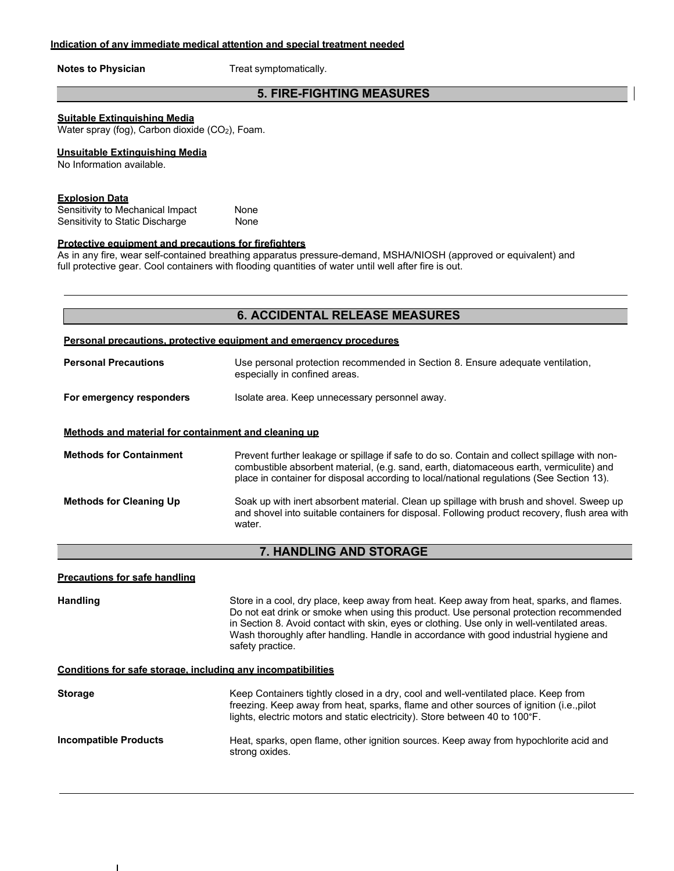**Notes to Physician** Treat symptomatically.

### **5. FIRE-FIGHTING MEASURES**

#### **Suitable Extinguishing Media**

Water spray (fog), Carbon dioxide (CO<sub>2</sub>), Foam.

#### **Unsuitable Extinguishing Media**

No Information available.

#### **Explosion Data**

Sensitivity to Mechanical Impact None Sensitivity to Static Discharge None

#### **Protective equipment and precautions for firefighters**

As in any fire, wear self-contained breathing apparatus pressure-demand, MSHA/NIOSH (approved or equivalent) and full protective gear. Cool containers with flooding quantities of water until well after fire is out.

#### **Personal precautions, protective equipment and emergency procedures**

| <b>Personal Precautions</b>                          | Use personal protection recommended in Section 8. Ensure adequate ventilation,<br>especially in confined areas. |  |
|------------------------------------------------------|-----------------------------------------------------------------------------------------------------------------|--|
| For emergency responders                             | Isolate area. Keep unnecessary personnel away.                                                                  |  |
| Methods and material for containment and cleaning up |                                                                                                                 |  |

**Methods for Containment** Prevent further leakage or spillage if safe to do so. Contain and collect spillage with noncombustible absorbent material, (e.g. sand, earth, diatomaceous earth, vermiculite) and place in container for disposal according to local/national regulations (See Section 13).

**Methods for Cleaning Up** Soak up with inert absorbent material. Clean up spillage with brush and shovel. Sweep up and shovel into suitable containers for disposal. Following product recovery, flush area with water.

### **7. HANDLING AND STORAGE**

**Precautions for safe handling**

Handling **Store in a cool, dry place, keep away from heat. Keep away from heat, sparks, and flames.** Do not eat drink or smoke when using this product. Use personal protection recommended in Section 8. Avoid contact with skin, eyes or clothing. Use only in well-ventilated areas. Wash thoroughly after handling. Handle in accordance with good industrial hygiene and safety practice.

#### **Conditions for safe storage, including any incompatibilities**

| <b>Storage</b>               | Keep Containers tightly closed in a dry, cool and well-ventilated place. Keep from<br>freezing. Keep away from heat, sparks, flame and other sources of ignition (i.e., pilot<br>lights, electric motors and static electricity). Store between 40 to 100°F. |
|------------------------------|--------------------------------------------------------------------------------------------------------------------------------------------------------------------------------------------------------------------------------------------------------------|
| <b>Incompatible Products</b> | Heat, sparks, open flame, other ignition sources. Keep away from hypochlorite acid and<br>strong oxides.                                                                                                                                                     |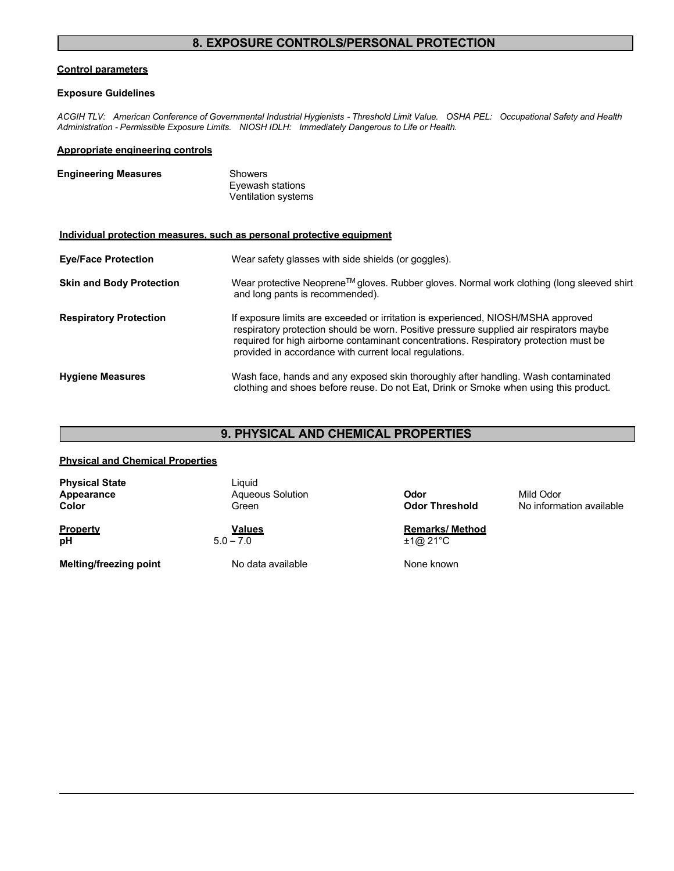### **8. EXPOSURE CONTROLS/PERSONAL PROTECTION**

#### **Control parameters**

#### **Exposure Guidelines**

*ACGIH TLV: American Conference of Governmental Industrial Hygienists - Threshold Limit Value. OSHA PEL: Occupational Safety and Health Administration - Permissible Exposure Limits. NIOSH IDLH: Immediately Dangerous to Life or Health.*

#### **Appropriate engineering controls**

| <b>Engineering Measures</b> | Showers             |
|-----------------------------|---------------------|
|                             | Eyewash stations    |
|                             | Ventilation systems |

### **Individual protection measures, such as personal protective equipment**

| <b>Eye/Face Protection</b>      | Wear safety glasses with side shields (or goggles).                                                                                                                                                                                                                                                                             |
|---------------------------------|---------------------------------------------------------------------------------------------------------------------------------------------------------------------------------------------------------------------------------------------------------------------------------------------------------------------------------|
| <b>Skin and Body Protection</b> | Wear protective Neoprene™ gloves. Rubber gloves. Normal work clothing (long sleeved shirt<br>and long pants is recommended).                                                                                                                                                                                                    |
| <b>Respiratory Protection</b>   | If exposure limits are exceeded or irritation is experienced, NIOSH/MSHA approved<br>respiratory protection should be worn. Positive pressure supplied air respirators maybe<br>required for high airborne contaminant concentrations. Respiratory protection must be<br>provided in accordance with current local regulations. |
| <b>Hygiene Measures</b>         | Wash face, hands and any exposed skin thoroughly after handling. Wash contaminated<br>clothing and shoes before reuse. Do not Eat, Drink or Smoke when using this product.                                                                                                                                                      |

### **9. PHYSICAL AND CHEMICAL PROPERTIES**

### **Physical and Chemical Properties**

| <b>Physical State</b><br>Appearance<br>Color | Liauid<br><b>Aqueous Solution</b><br>Green | Odor<br><b>Odor Threshold</b> | Mild Odor<br>No information available |
|----------------------------------------------|--------------------------------------------|-------------------------------|---------------------------------------|
| <b>Property</b>                              | <b>Values</b>                              | <b>Remarks/ Method</b>        |                                       |
| pH                                           | $5.0 - 7.0$                                | $\pm 1 @ 21^{\circ}C$         |                                       |

**Melting/freezing point** No data available None known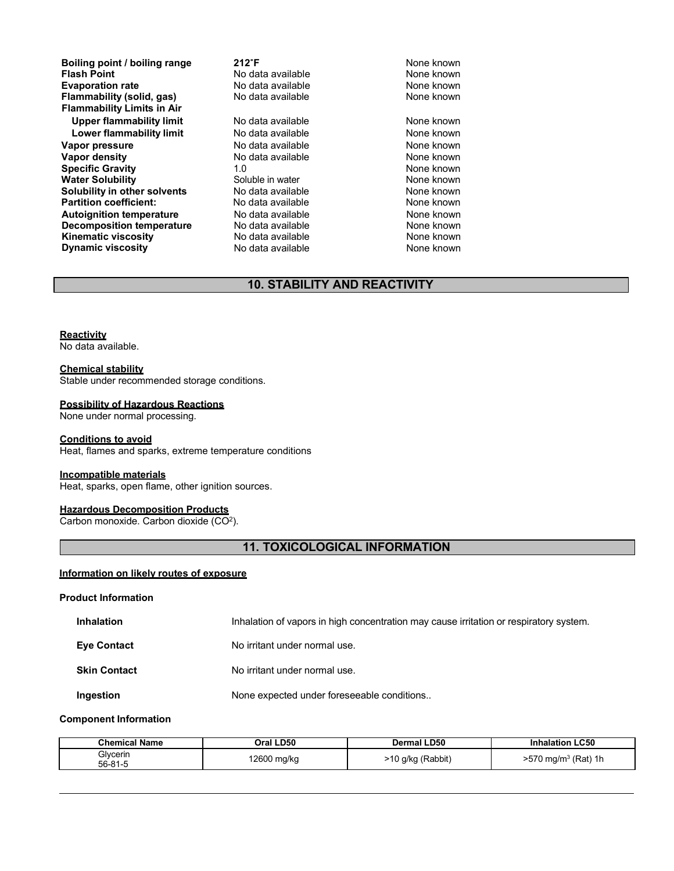**Boiling point / boiling range 212<sup>°</sup>F 212<sup>°</sup>F 1212<sup>°</sup>F 1212**<sup><sup>6</sup>F **1211 1211 1211 1211 121**</sup> **Evaporation rate Reserve State and Reserve Algebra 10 None known**<br> **Flammability (solid, gas)** No data available **None known** None known **Flammability** (solid, gas) **Flammability Limits in Air** Upper flammability limit **No data available** None known **Lower flammability limit** No data available **None known**<br>
No data available **None known**<br>
None known **Vapor pressure No data available and the None known**<br> **Vapor density No data available None known**<br>
No data available **None known Vapor density No data available None known**<br> **Specific Gravity** 1.0 1.0 1.0 None known **Specific Gravity** 1.0 1.0 **None known**<br> **Water Solubility** Soluble in water **None known**<br>
None known **Water Solubility <b>Soluble** in water Soluble in water Soluble in water Soluble in water **Solubility in other solvents** No data available **None known**<br> **Partition coefficient:** No data available None known **Partition coefficient: Autoignition temperature No data available None known**<br> **Decomposition temperature** No data available **None known**<br>
None known **Decomposition temperature** No data available None known<br> **Kinematic viscosity** No data available None known **Kinematic viscosity**<br> **Contains the Cone of the Cone of the Cone of the Cone of the None known**<br> **None known**<br>
None known **Dynamic viscosity** 

**Francisco Moneman Point None known**<br>**Ro data available None known** 

## **10. STABILITY AND REACTIVITY**

#### **Reactivity**

No data available.

#### **Chemical stability**

Stable under recommended storage conditions.

#### **Possibility of Hazardous Reactions**

None under normal processing.

#### **Conditions to avoid**

Heat, flames and sparks, extreme temperature conditions

#### **Incompatible materials**

Heat, sparks, open flame, other ignition sources.

### **Hazardous Decomposition Products**

Carbon monoxide. Carbon dioxide  $(CO<sup>2</sup>)$ .

## **11. TOXICOLOGICAL INFORMATION**

### **Information on likely routes of exposure**

#### **Product Information**

| <b>Inhalation</b>   | Inhalation of vapors in high concentration may cause irritation or respiratory system. |
|---------------------|----------------------------------------------------------------------------------------|
| <b>Eve Contact</b>  | No irritant under normal use.                                                          |
| <b>Skin Contact</b> | No irritant under normal use.                                                          |
| Ingestion           | None expected under foreseeable conditions                                             |

#### **Component Information**

| <b>Chemical Name</b> | Oral LD50   | <b>Dermal LD50</b> | <b>LC50</b><br><b>Inhalation</b>               |
|----------------------|-------------|--------------------|------------------------------------------------|
| Glvcerin<br>56-81-5  | 12600 mg/kg | 10 g/kg (Rabbit)   | $(Rat)$ 1h<br>$-70$<br>ാ70 mg/m <sup>ം</sup> ′ |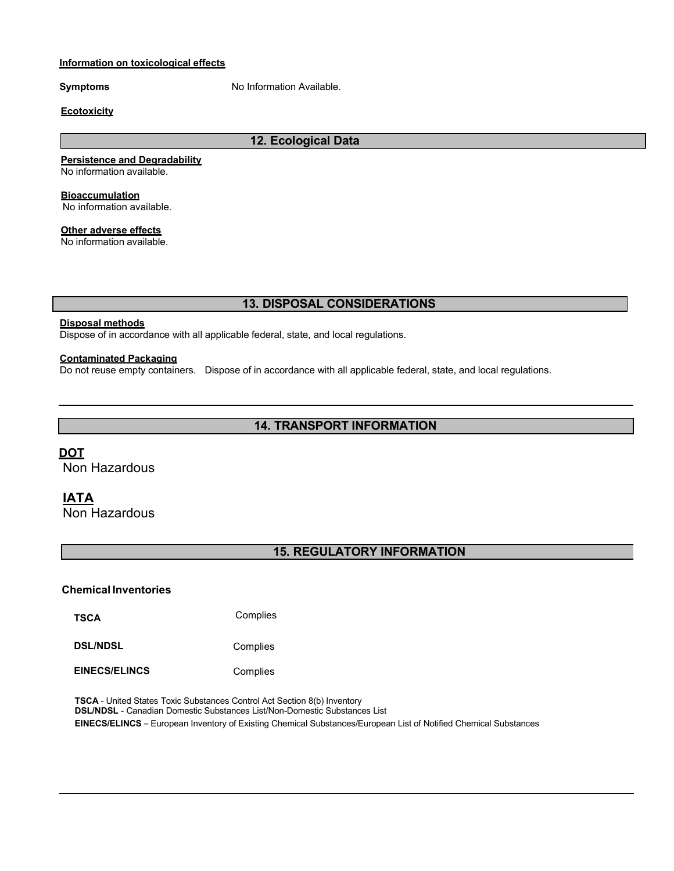### **Information on toxicological effects**

**Symptoms** No Information Available.

#### **Ecotoxicity**

### **12. Ecological Data**

#### **Persistence and Degradability**

No information available.

**Bioaccumulation**

No information available.

### **Other adverse effects**

No information available.

### **13. DISPOSAL CONSIDERATIONS**

### **Disposal methods**

Dispose of in accordance with all applicable federal, state, and local regulations.

### **Contaminated Packaging**

Do not reuse empty containers. Dispose of in accordance with all applicable federal, state, and local regulations.

### **14. TRANSPORT INFORMATION**

### **DOT**

Non Hazardous

### **IATA**

Non Hazardous

## **15. REGULATORY INFORMATION**

### **Chemical Inventories**

**TSCA** Complies

**DSL/NDSL** Complies

**EINECS/ELINCS** Complies

**TSCA** - United States Toxic Substances Control Act Section 8(b) Inventory **DSL/NDSL** - Canadian Domestic Substances List/Non-Domestic Substances List **EINECS/ELINCS** – European Inventory of Existing Chemical Substances/European List of Notified Chemical Substances